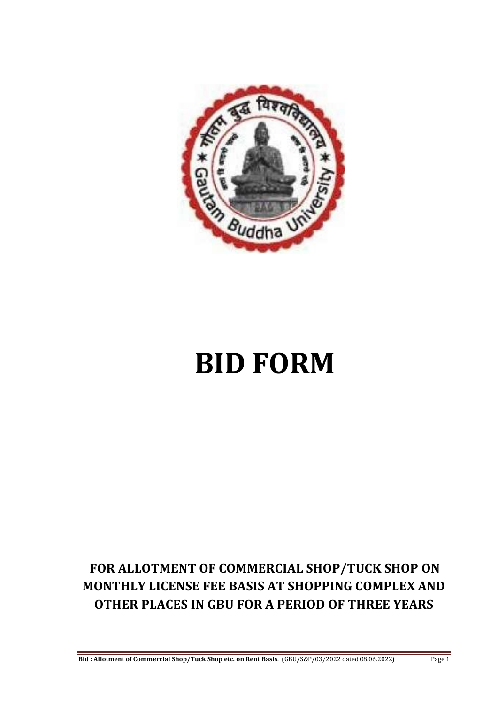

# **BID FORM**

# **FOR ALLOTMENT OF COMMERCIAL SHOP/TUCK SHOP ON MONTHLY LICENSE FEE BASIS AT SHOPPING COMPLEX AND OTHER PLACES IN GBU FOR A PERIOD OF THREE YEARS**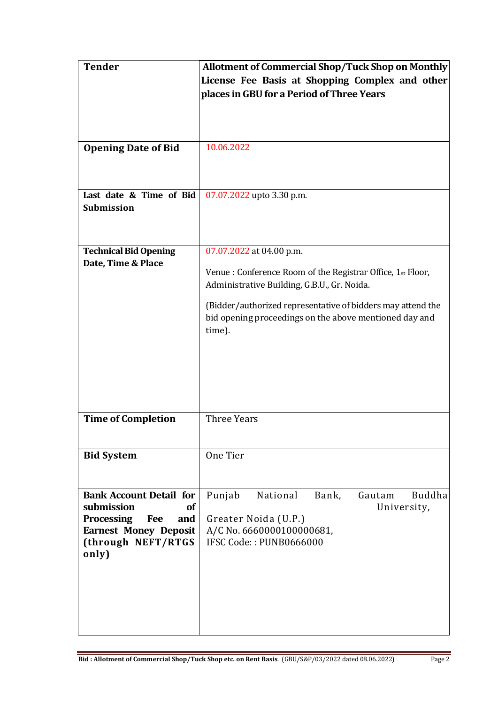| <b>Tender</b>                                                                                                                                                      | <b>Allotment of Commercial Shop/Tuck Shop on Monthly</b><br>License Fee Basis at Shopping Complex and other<br>places in GBU for a Period of Three Years                                                                                                                  |
|--------------------------------------------------------------------------------------------------------------------------------------------------------------------|---------------------------------------------------------------------------------------------------------------------------------------------------------------------------------------------------------------------------------------------------------------------------|
| <b>Opening Date of Bid</b>                                                                                                                                         | 10.06.2022                                                                                                                                                                                                                                                                |
| Last date & Time of Bid<br><b>Submission</b>                                                                                                                       | 07.07.2022 upto 3.30 p.m.                                                                                                                                                                                                                                                 |
| <b>Technical Bid Opening</b><br>Date, Time & Place                                                                                                                 | 07.07.2022 at 04.00 p.m.<br>Venue : Conference Room of the Registrar Office, 1st Floor,<br>Administrative Building, G.B.U., Gr. Noida.<br>(Bidder/authorized representative of bidders may attend the<br>bid opening proceedings on the above mentioned day and<br>time). |
| <b>Time of Completion</b>                                                                                                                                          | <b>Three Years</b>                                                                                                                                                                                                                                                        |
| <b>Bid System</b>                                                                                                                                                  | One Tier                                                                                                                                                                                                                                                                  |
| <b>Bank Account Detail for</b><br>submission<br><b>of</b><br><b>Processing</b><br><b>Fee</b><br>and<br><b>Earnest Money Deposit</b><br>(through NEFT/RTGS<br>only) | National<br><b>Buddha</b><br>Punjab<br>Bank,<br>Gautam<br>University,<br>Greater Noida (U.P.)<br>A/C No. 6660000100000681,<br>IFSC Code:: PUNB0666000                                                                                                                     |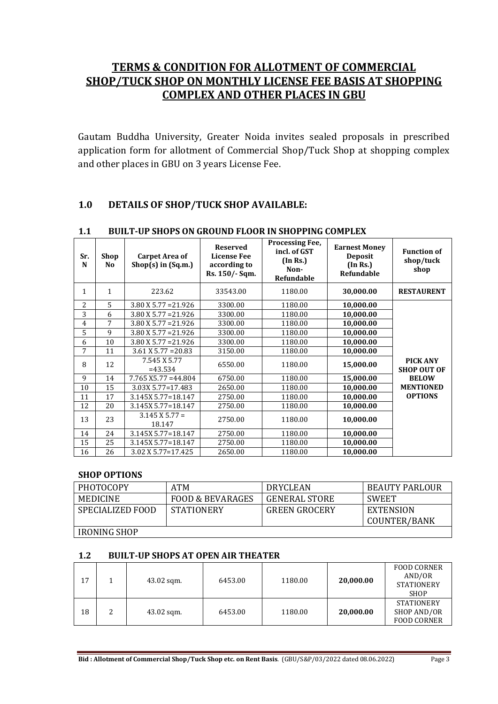# **TERMS & CONDITION FOR ALLOTMENT OF COMMERCIAL SHOP/TUCK SHOP ON MONTHLY LICENSE FEE BASIS AT SHOPPING COMPLEX AND OTHER PLACES IN GBU**

Gautam Buddha University, Greater Noida invites sealed proposals in prescribed application form for allotment of Commercial Shop/Tuck Shop at shopping complex and other places in GBU on 3 years License Fee.

# **1.0 DETAILS OF SHOP/TUCK SHOP AVAILABLE:**

| Sr.<br>N     | Shop<br>N <sub>0</sub> | <b>Carpet Area of</b><br>$Shop(s)$ in $(Sq.m.)$ | <b>Reserved</b><br><b>License Fee</b><br>according to<br>Rs. 150/- Sqm. | <b>Processing Fee,</b><br>incl. of GST<br>(In Rs.)<br>Non-<br>Refundable | <b>Earnest Money</b><br><b>Deposit</b><br>(In Rs.)<br>Refundable | <b>Function of</b><br>shop/tuck<br>shop |
|--------------|------------------------|-------------------------------------------------|-------------------------------------------------------------------------|--------------------------------------------------------------------------|------------------------------------------------------------------|-----------------------------------------|
| $\mathbf{1}$ | $\mathbf{1}$           | 223.62                                          | 33543.00                                                                | 1180.00                                                                  | 30,000.00                                                        | <b>RESTAURENT</b>                       |
| 2            | 5                      | $3.80$ X 5.77 = 21.926                          | 3300.00                                                                 | 1180.00                                                                  | 10,000.00                                                        |                                         |
| 3            | 6                      | $3.80$ X 5.77 = 21.926                          | 3300.00                                                                 | 1180.00                                                                  | 10,000.00                                                        |                                         |
| 4            | 7                      | $3.80$ X 5.77 = 21.926                          | 3300.00                                                                 | 1180.00                                                                  | 10,000.00                                                        |                                         |
| 5            | 9                      | $3.80$ X 5.77 = 21.926                          | 3300.00                                                                 | 1180.00                                                                  | 10,000.00                                                        |                                         |
| 6            | 10                     | $3.80$ X 5.77 = 21.926                          | 3300.00                                                                 | 1180.00                                                                  | 10,000.00                                                        |                                         |
| 7            | 11                     | $3.61$ X 5.77 = 20.83                           | 3150.00                                                                 | 1180.00                                                                  | 10,000.00                                                        |                                         |
| 8            | 12                     | 7.545 X 5.77<br>$=43.534$                       | 6550.00                                                                 | 1180.00                                                                  | 15,000.00                                                        | PICK ANY<br><b>SHOP OUT OF</b>          |
| 9            | 14                     | $7.765$ X5.77 = 44.804                          | 6750.00                                                                 | 1180.00                                                                  | 15,000.00                                                        | <b>BELOW</b>                            |
| 10           | 15                     | 3.03X 5.77=17.483                               | 2650.00                                                                 | 1180.00                                                                  | 10,000.00                                                        | <b>MENTIONED</b>                        |
| 11           | 17                     | 3.145X 5.77=18.147                              | 2750.00                                                                 | 1180.00                                                                  | 10,000.00                                                        | <b>OPTIONS</b>                          |
| 12           | 20                     | 3.145X 5.77=18.147                              | 2750.00                                                                 | 1180.00                                                                  | 10,000.00                                                        |                                         |
| 13           | 23                     | $3.145$ X 5.77 =<br>18.147                      | 2750.00                                                                 | 1180.00                                                                  | 10,000.00                                                        |                                         |
| 14           | 24                     | 3.145X 5.77=18.147                              | 2750.00                                                                 | 1180.00                                                                  | 10,000.00                                                        |                                         |
| 15           | 25                     | 3.145X 5.77=18.147                              | 2750.00                                                                 | 1180.00                                                                  | 10,000.00                                                        |                                         |
| 16           | 26                     | 3.02 X 5.77=17.425                              | 2650.00                                                                 | 1180.00                                                                  | 10,000.00                                                        |                                         |

#### **1.1 BUILT-UP SHOPS ON GROUND FLOOR IN SHOPPING COMPLEX**

#### **SHOP OPTIONS**

| PHOTOCOPY           | ATM                         | <b>DRYCLEAN</b>      | <b>BEAUTY PARLOUR</b> |
|---------------------|-----------------------------|----------------------|-----------------------|
| MEDICINE            | <b>FOOD &amp; BEVARAGES</b> | <b>GENERAL STORE</b> | <b>SWEET</b>          |
| SPECIALIZED FOOD    | <b>STATIONERY</b>           | <b>GREEN GROCERY</b> | <b>EXTENSION</b>      |
|                     |                             |                      | COUNTER/BANK          |
| <b>IRONING SHOP</b> |                             |                      |                       |

#### **1.2 BUILT-UP SHOPS AT OPEN AIR THEATER**

| 17 |   | $43.02$ sqm. | 6453.00 | 1180.00 | 20,000.00 | <b>FOOD CORNER</b><br>AND/OR<br><b>STATIONERY</b><br><b>SHOP</b> |
|----|---|--------------|---------|---------|-----------|------------------------------------------------------------------|
| 18 | າ | 43.02 sqm.   | 6453.00 | 1180.00 | 20,000.00 | <b>STATIONERY</b><br>SHOP AND/OR<br><b>FOOD CORNER</b>           |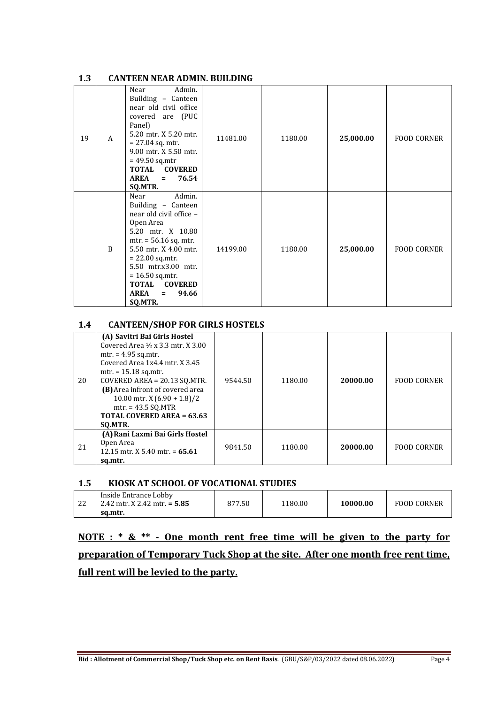#### **1.3 CANTEEN NEAR ADMIN. BUILDING**

| 19 | A            | Admin.<br>Near<br>Building - Canteen<br>near old civil office<br>covered are (PUC<br>Panel)<br>5.20 mtr. X 5.20 mtr.<br>$= 27.04$ sq. mtr.<br>9.00 mtr. X 5.50 mtr.<br>$= 49.50$ sq.mtr<br>TOTAL COVERED<br>76.54<br>AREA<br>$\equiv$<br>SQ.MTR.                                                   | 11481.00 | 1180.00 | 25,000.00 | <b>FOOD CORNER</b> |
|----|--------------|----------------------------------------------------------------------------------------------------------------------------------------------------------------------------------------------------------------------------------------------------------------------------------------------------|----------|---------|-----------|--------------------|
|    | $\mathbf{B}$ | Admin.<br>Near<br>Building - Canteen<br>near old civil office -<br>Open Area<br>5.20 mtr. X 10.80<br>$mtr. = 56.16$ sq. mtr.<br>5.50 mtr. X 4.00 mtr.<br>$= 22.00$ sq.mtr.<br>5.50 mtr.x3.00 mtr.<br>$= 16.50$ sq.mtr.<br><b>COVERED</b><br><b>TOTAL</b><br><b>AREA</b><br>94.66<br>$=$<br>SQ.MTR. | 14199.00 | 1180.00 | 25,000.00 | <b>FOOD CORNER</b> |

#### **1.4 CANTEEN/SHOP FOR GIRLS HOSTELS**

| 20 | (A) Savitri Bai Girls Hostel<br>Covered Area 1/2 x 3.3 mtr. X 3.00<br>$mtr. = 4.95$ sq.mtr.<br>Covered Area 1x4.4 mtr. X 3.45<br>$mtr. = 15.18$ sq.mtr.<br>COVERED AREA = $20.13$ SQ.MTR.<br>(B) Area infront of covered area<br>10.00 mtr. X $(6.90 + 1.8)/2$<br>$mtr. = 43.5$ SO.MTR<br><b>TOTAL COVERED AREA = 63.63</b><br>SO.MTR. | 9544.50 | 1180.00 | 20000.00 | <b>FOOD CORNER</b> |
|----|----------------------------------------------------------------------------------------------------------------------------------------------------------------------------------------------------------------------------------------------------------------------------------------------------------------------------------------|---------|---------|----------|--------------------|
| 21 | (A) Rani Laxmi Bai Girls Hostel<br>Open Area<br>12.15 mtr. X 5.40 mtr. = $65.61$<br>sq.mtr.                                                                                                                                                                                                                                            | 9841.50 | 1180.00 | 20000.00 | <b>FOOD CORNER</b> |

#### **1.5 KIOSK AT SCHOOL OF VOCATIONAL STUDIES**

| ົາ<br>∠∠ | Inside Entrance Lobby<br>$2.42$ mtr. X 2.42 mtr. = 5.85 | 877.50 | 1180.00 | 10000.00 | <b>FOOD CORNER</b> |
|----------|---------------------------------------------------------|--------|---------|----------|--------------------|
|          | sa.mtr.                                                 |        |         |          |                    |

# **NOTE : \* & \*\* - One month rent free time will be given to the party for preparation of Temporary Tuck Shop at the site. After one month free rent time, full rent will be levied to the party.**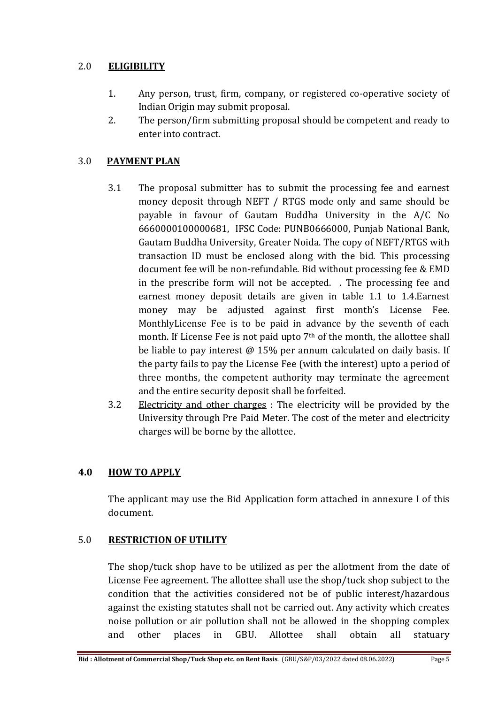# 2.0 **ELIGIBILITY**

- 1. Any person, trust, firm, company, or registered co-operative society of Indian Origin may submit proposal.
- 2. The person/firm submitting proposal should be competent and ready to enter into contract.

# 3.0 **PAYMENT PLAN**

- 3.1 The proposal submitter has to submit the processing fee and earnest money deposit through NEFT / RTGS mode only and same should be payable in favour of Gautam Buddha University in the A/C No 6660000100000681, IFSC Code: PUNB0666000, Punjab National Bank, Gautam Buddha University, Greater Noida. The copy of NEFT/RTGS with transaction ID must be enclosed along with the bid. This processing document fee will be non-refundable. Bid without processing fee & EMD in the prescribe form will not be accepted. . The processing fee and earnest money deposit details are given in table 1.1 to 1.4.Earnest money may be adjusted against first month's License Fee. MonthlyLicense Fee is to be paid in advance by the seventh of each month. If License Fee is not paid upto 7<sup>th</sup> of the month, the allottee shall be liable to pay interest @ 15% per annum calculated on daily basis. If the party fails to pay the License Fee (with the interest) upto a period of three months, the competent authority may terminate the agreement and the entire security deposit shall be forfeited.
- 3.2 Electricity and other charges : The electricity will be provided by the University through Pre Paid Meter. The cost of the meter and electricity charges will be borne by the allottee.

# **4.0 HOW TO APPLY**

The applicant may use the Bid Application form attached in annexure I of this document.

# 5.0 **RESTRICTION OF UTILITY**

The shop/tuck shop have to be utilized as per the allotment from the date of License Fee agreement. The allottee shall use the shop/tuck shop subject to the condition that the activities considered not be of public interest/hazardous against the existing statutes shall not be carried out. Any activity which creates noise pollution or air pollution shall not be allowed in the shopping complex and other places in GBU. Allottee shall obtain all statuary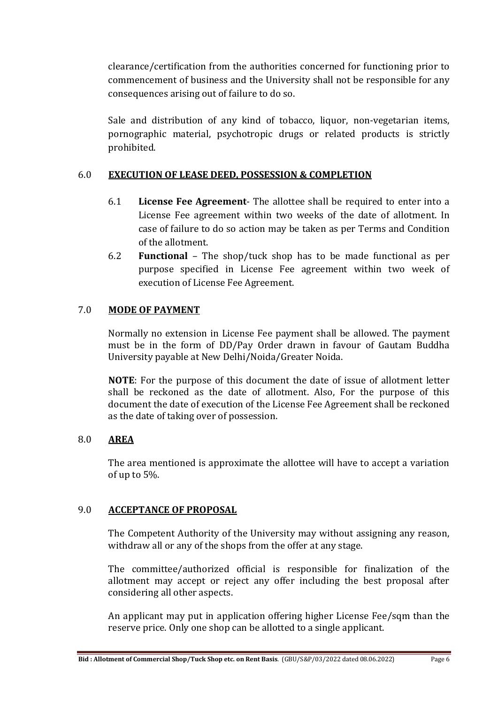clearance/certification from the authorities concerned for functioning prior to commencement of business and the University shall not be responsible for any consequences arising out of failure to do so.

Sale and distribution of any kind of tobacco, liquor, non-vegetarian items, pornographic material, psychotropic drugs or related products is strictly prohibited.

# 6.0 **EXECUTION OF LEASE DEED, POSSESSION & COMPLETION**

- 6.1 **License Fee Agreement** The allottee shall be required to enter into a License Fee agreement within two weeks of the date of allotment. In case of failure to do so action may be taken as per Terms and Condition of the allotment.
- 6.2 **Functional** The shop/tuck shop has to be made functional as per purpose specified in License Fee agreement within two week of execution of License Fee Agreement.

# 7.0 **MODE OF PAYMENT**

Normally no extension in License Fee payment shall be allowed. The payment must be in the form of DD/Pay Order drawn in favour of Gautam Buddha University payable at New Delhi/Noida/Greater Noida.

**NOTE**: For the purpose of this document the date of issue of allotment letter shall be reckoned as the date of allotment. Also, For the purpose of this document the date of execution of the License Fee Agreement shall be reckoned as the date of taking over of possession.

# 8.0 **AREA**

The area mentioned is approximate the allottee will have to accept a variation of up to 5%.

#### 9.0 **ACCEPTANCE OF PROPOSAL**

The Competent Authority of the University may without assigning any reason, withdraw all or any of the shops from the offer at any stage.

The committee/authorized official is responsible for finalization of the allotment may accept or reject any offer including the best proposal after considering all other aspects.

An applicant may put in application offering higher License Fee/sqm than the reserve price. Only one shop can be allotted to a single applicant.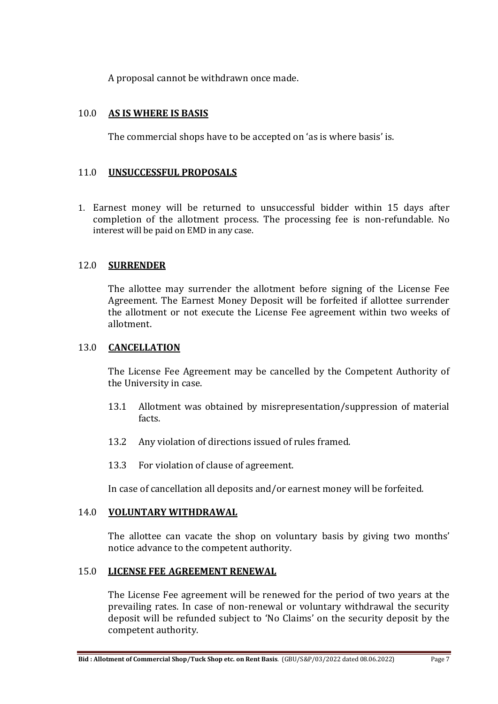A proposal cannot be withdrawn once made.

#### 10.0 **AS IS WHERE IS BASIS**

The commercial shops have to be accepted on 'as is where basis' is.

#### 11.0 **UNSUCCESSFUL PROPOSALS**

1. Earnest money will be returned to unsuccessful bidder within 15 days after completion of the allotment process. The processing fee is non-refundable. No interest will be paid on EMD in any case.

#### 12.0 **SURRENDER**

The allottee may surrender the allotment before signing of the License Fee Agreement. The Earnest Money Deposit will be forfeited if allottee surrender the allotment or not execute the License Fee agreement within two weeks of allotment.

#### 13.0 **CANCELLATION**

The License Fee Agreement may be cancelled by the Competent Authority of the University in case.

- 13.1 Allotment was obtained by misrepresentation/suppression of material facts.
- 13.2 Any violation of directions issued of rules framed.
- 13.3 For violation of clause of agreement.

In case of cancellation all deposits and/or earnest money will be forfeited.

#### 14.0 **VOLUNTARY WITHDRAWAL**

The allottee can vacate the shop on voluntary basis by giving two months' notice advance to the competent authority.

#### 15.0 **LICENSE FEE AGREEMENT RENEWAL**

The License Fee agreement will be renewed for the period of two years at the prevailing rates. In case of non-renewal or voluntary withdrawal the security deposit will be refunded subject to 'No Claims' on the security deposit by the competent authority.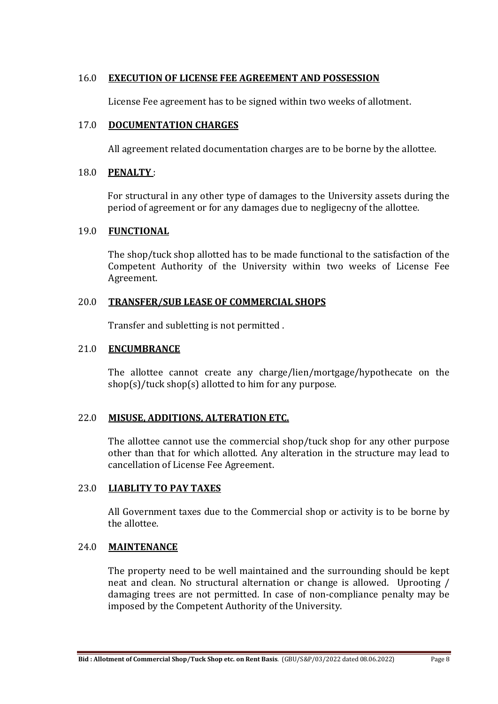#### 16.0 **EXECUTION OF LICENSE FEE AGREEMENT AND POSSESSION**

License Fee agreement has to be signed within two weeks of allotment.

#### 17.0 **DOCUMENTATION CHARGES**

All agreement related documentation charges are to be borne by the allottee.

#### 18.0 **PENALTY** :

For structural in any other type of damages to the University assets during the period of agreement or for any damages due to negligecny of the allottee.

#### 19.0 **FUNCTIONAL**

The shop/tuck shop allotted has to be made functional to the satisfaction of the Competent Authority of the University within two weeks of License Fee Agreement.

# 20.0 **TRANSFER/SUB LEASE OF COMMERCIAL SHOPS**

Transfer and subletting is not permitted .

# 21.0 **ENCUMBRANCE**

The allottee cannot create any charge/lien/mortgage/hypothecate on the shop(s)/tuck shop(s) allotted to him for any purpose.

# 22.0 **MISUSE, ADDITIONS, ALTERATION ETC.**

The allottee cannot use the commercial shop/tuck shop for any other purpose other than that for which allotted. Any alteration in the structure may lead to cancellation of License Fee Agreement.

# 23.0 **LIABLITY TO PAY TAXES**

All Government taxes due to the Commercial shop or activity is to be borne by the allottee.

# 24.0 **MAINTENANCE**

The property need to be well maintained and the surrounding should be kept neat and clean. No structural alternation or change is allowed. Uprooting / damaging trees are not permitted. In case of non-compliance penalty may be imposed by the Competent Authority of the University.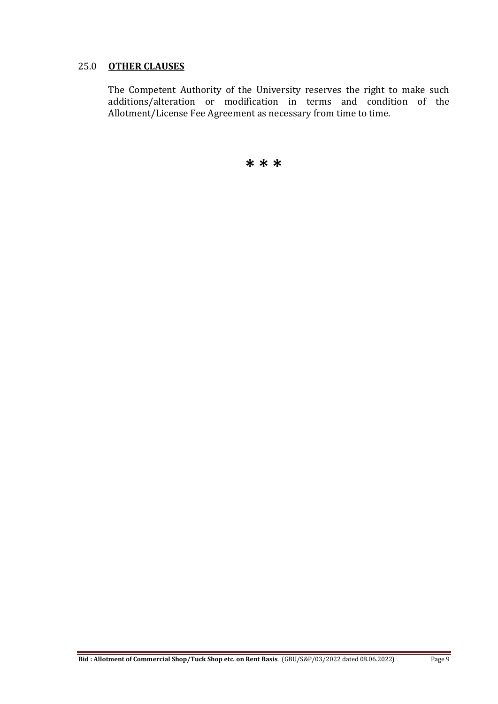#### 25.0 **OTHER CLAUSES**

The Competent Authority of the University reserves the right to make such additions/alteration or modification in terms and condition of the Allotment/License Fee Agreement as necessary from time to time.

**\* \* \***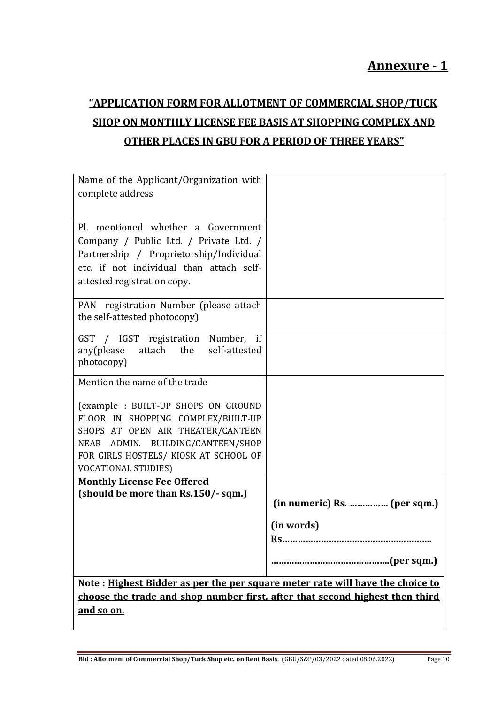# **"APPLICATION FORM FOR ALLOTMENT OF COMMERCIAL SHOP/TUCK SHOP ON MONTHLY LICENSE FEE BASIS AT SHOPPING COMPLEX AND OTHER PLACES IN GBU FOR A PERIOD OF THREE YEARS"**

| Name of the Applicant/Organization with                                       |                              |
|-------------------------------------------------------------------------------|------------------------------|
| complete address                                                              |                              |
|                                                                               |                              |
| Pl. mentioned whether a Government                                            |                              |
| Company / Public Ltd. / Private Ltd. /                                        |                              |
| Partnership / Proprietorship/Individual                                       |                              |
| etc. if not individual than attach self-                                      |                              |
| attested registration copy.                                                   |                              |
| PAN registration Number (please attach                                        |                              |
| the self-attested photocopy)                                                  |                              |
| GST / IGST registration Number, if                                            |                              |
| any(please attach the self-attested                                           |                              |
| photocopy)                                                                    |                              |
| Mention the name of the trade                                                 |                              |
| (example: BUILT-UP SHOPS ON GROUND                                            |                              |
| FLOOR IN SHOPPING COMPLEX/BUILT-UP                                            |                              |
| SHOPS AT OPEN AIR THEATER/CANTEEN                                             |                              |
| NEAR ADMIN. BUILDING/CANTEEN/SHOP                                             |                              |
| FOR GIRLS HOSTELS/ KIOSK AT SCHOOL OF                                         |                              |
| <b>VOCATIONAL STUDIES)</b>                                                    |                              |
| <b>Monthly License Fee Offered</b>                                            |                              |
| (should be more than Rs.150/-sqm.)                                            | (in numeric) Rs.  (per sqm.) |
|                                                                               | (in words)                   |
|                                                                               |                              |
|                                                                               | (per sqm.)<br>               |
| Note: Highest Bidder as per the per square meter rate will have the choice to |                              |
| choose the trade and shop number first, after that second highest then third  |                              |
| and so on.                                                                    |                              |